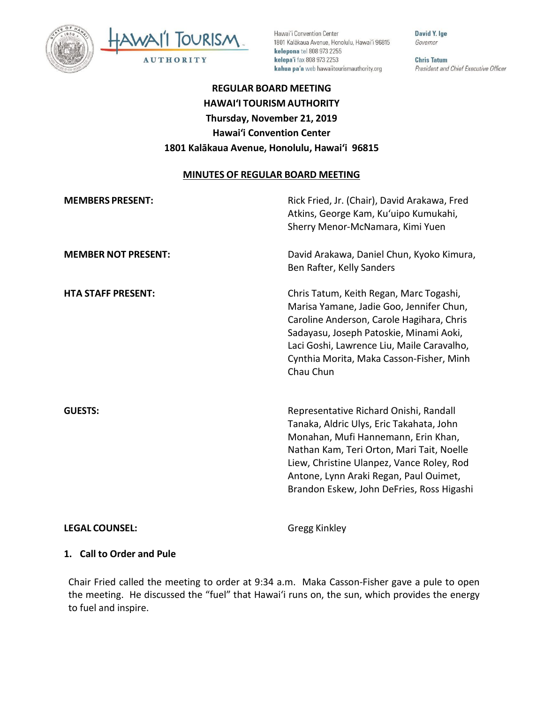



Hawai'i Convention Center 1801 Kalākaua Avenue, Honolulu, Hawai'i 96815 kelepona tel 808 973 2255 kelepa'i fax 808 973 2253 kahua pa'a web hawaiitourismauthority.org

David Y. Ige Governor

**Chris Tatum** President and Chief Executive Officer

# **REGULAR BOARD MEETING HAWAI'I TOURISM AUTHORITY Thursday, November 21, 2019 Hawai'i Convention Center 1801 Kalākaua Avenue, Honolulu, Hawai'i 96815**

#### **MINUTES OF REGULAR BOARD MEETING**

| <b>MEMBERS PRESENT:</b>    | Rick Fried, Jr. (Chair), David Arakawa, Fred<br>Atkins, George Kam, Ku'uipo Kumukahi,<br>Sherry Menor-McNamara, Kimi Yuen                                                                                                                                                                                  |
|----------------------------|------------------------------------------------------------------------------------------------------------------------------------------------------------------------------------------------------------------------------------------------------------------------------------------------------------|
| <b>MEMBER NOT PRESENT:</b> | David Arakawa, Daniel Chun, Kyoko Kimura,<br>Ben Rafter, Kelly Sanders                                                                                                                                                                                                                                     |
| <b>HTA STAFF PRESENT:</b>  | Chris Tatum, Keith Regan, Marc Togashi,<br>Marisa Yamane, Jadie Goo, Jennifer Chun,<br>Caroline Anderson, Carole Hagihara, Chris<br>Sadayasu, Joseph Patoskie, Minami Aoki,<br>Laci Goshi, Lawrence Liu, Maile Caravalho,<br>Cynthia Morita, Maka Casson-Fisher, Minh<br>Chau Chun                         |
| <b>GUESTS:</b>             | Representative Richard Onishi, Randall<br>Tanaka, Aldric Ulys, Eric Takahata, John<br>Monahan, Mufi Hannemann, Erin Khan,<br>Nathan Kam, Teri Orton, Mari Tait, Noelle<br>Liew, Christine Ulanpez, Vance Roley, Rod<br>Antone, Lynn Araki Regan, Paul Ouimet,<br>Brandon Eskew, John DeFries, Ross Higashi |

#### **LEGAL COUNSEL:** Gregg Kinkley

#### **1. Call to Order and Pule**

Chair Fried called the meeting to order at 9:34 a.m. Maka Casson-Fisher gave a pule to open the meeting. He discussed the "fuel" that Hawai'i runs on, the sun, which provides the energy to fuel and inspire.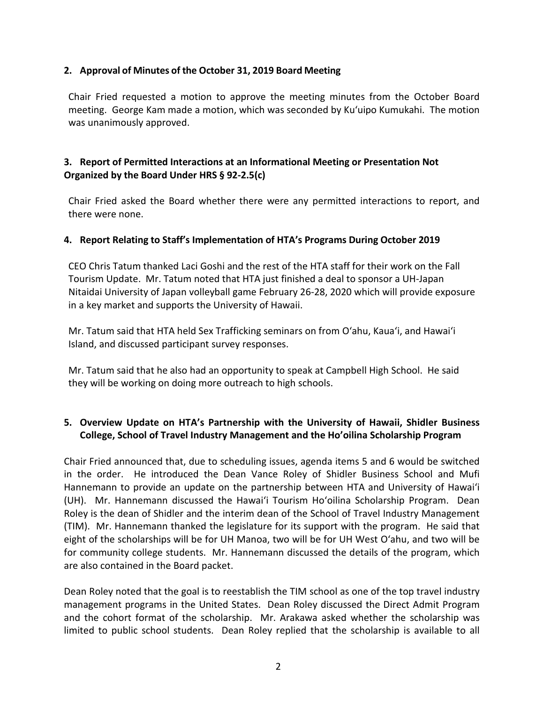#### **2. Approval of Minutes of the October 31, 2019 Board Meeting**

Chair Fried requested a motion to approve the meeting minutes from the October Board meeting. George Kam made a motion, which was seconded by Ku'uipo Kumukahi. The motion was unanimously approved.

# **3. Report of Permitted Interactions at an Informational Meeting or Presentation Not Organized by the Board Under HRS § 92-2.5(c)**

Chair Fried asked the Board whether there were any permitted interactions to report, and there were none.

#### **4. Report Relating to Staff's Implementation of HTA's Programs During October 2019**

CEO Chris Tatum thanked Laci Goshi and the rest of the HTA staff for their work on the Fall Tourism Update. Mr. Tatum noted that HTA just finished a deal to sponsor a UH-Japan Nitaidai University of Japan volleyball game February 26-28, 2020 which will provide exposure in a key market and supports the University of Hawaii.

Mr. Tatum said that HTA held Sex Trafficking seminars on from Oʻahu, Kaua'i, and Hawai'i Island, and discussed participant survey responses.

Mr. Tatum said that he also had an opportunity to speak at Campbell High School. He said they will be working on doing more outreach to high schools.

## **5. Overview Update on HTA's Partnership with the University of Hawaii, Shidler Business College, School of Travel Industry Management and the Ho'oilina Scholarship Program**

Chair Fried announced that, due to scheduling issues, agenda items 5 and 6 would be switched in the order. He introduced the Dean Vance Roley of Shidler Business School and Mufi Hannemann to provide an update on the partnership between HTA and University of Hawai'i (UH). Mr. Hannemann discussed the Hawai'i Tourism Ho'oilina Scholarship Program. Dean Roley is the dean of Shidler and the interim dean of the School of Travel Industry Management (TIM). Mr. Hannemann thanked the legislature for its support with the program. He said that eight of the scholarships will be for UH Manoa, two will be for UH West Oʻahu, and two will be for community college students. Mr. Hannemann discussed the details of the program, which are also contained in the Board packet.

Dean Roley noted that the goal is to reestablish the TIM school as one of the top travel industry management programs in the United States. Dean Roley discussed the Direct Admit Program and the cohort format of the scholarship. Mr. Arakawa asked whether the scholarship was limited to public school students. Dean Roley replied that the scholarship is available to all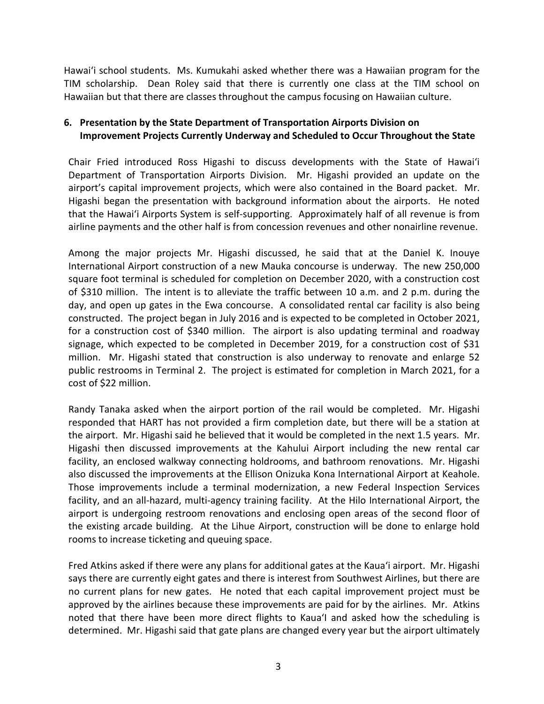Hawai'i school students. Ms. Kumukahi asked whether there was a Hawaiian program for the TIM scholarship. Dean Roley said that there is currently one class at the TIM school on Hawaiian but that there are classes throughout the campus focusing on Hawaiian culture.

# **6. Presentation by the State Department of Transportation Airports Division on Improvement Projects Currently Underway and Scheduled to Occur Throughout the State**

Chair Fried introduced Ross Higashi to discuss developments with the State of Hawai'i Department of Transportation Airports Division. Mr. Higashi provided an update on the airport's capital improvement projects, which were also contained in the Board packet. Mr. Higashi began the presentation with background information about the airports. He noted that the Hawai'i Airports System is self-supporting. Approximately half of all revenue is from airline payments and the other half is from concession revenues and other nonairline revenue.

Among the major projects Mr. Higashi discussed, he said that at the Daniel K. Inouye International Airport construction of a new Mauka concourse is underway. The new 250,000 square foot terminal is scheduled for completion on December 2020, with a construction cost of \$310 million. The intent is to alleviate the traffic between 10 a.m. and 2 p.m. during the day, and open up gates in the Ewa concourse. A consolidated rental car facility is also being constructed. The project began in July 2016 and is expected to be completed in October 2021, for a construction cost of \$340 million. The airport is also updating terminal and roadway signage, which expected to be completed in December 2019, for a construction cost of \$31 million. Mr. Higashi stated that construction is also underway to renovate and enlarge 52 public restrooms in Terminal 2. The project is estimated for completion in March 2021, for a cost of \$22 million.

Randy Tanaka asked when the airport portion of the rail would be completed. Mr. Higashi responded that HART has not provided a firm completion date, but there will be a station at the airport. Mr. Higashi said he believed that it would be completed in the next 1.5 years. Mr. Higashi then discussed improvements at the Kahului Airport including the new rental car facility, an enclosed walkway connecting holdrooms, and bathroom renovations. Mr. Higashi also discussed the improvements at the Ellison Onizuka Kona International Airport at Keahole. Those improvements include a terminal modernization, a new Federal Inspection Services facility, and an all-hazard, multi-agency training facility. At the Hilo International Airport, the airport is undergoing restroom renovations and enclosing open areas of the second floor of the existing arcade building. At the Lihue Airport, construction will be done to enlarge hold rooms to increase ticketing and queuing space.

Fred Atkins asked if there were any plans for additional gates at the Kaua'i airport. Mr. Higashi says there are currently eight gates and there is interest from Southwest Airlines, but there are no current plans for new gates. He noted that each capital improvement project must be approved by the airlines because these improvements are paid for by the airlines. Mr. Atkins noted that there have been more direct flights to Kaua'I and asked how the scheduling is determined. Mr. Higashi said that gate plans are changed every year but the airport ultimately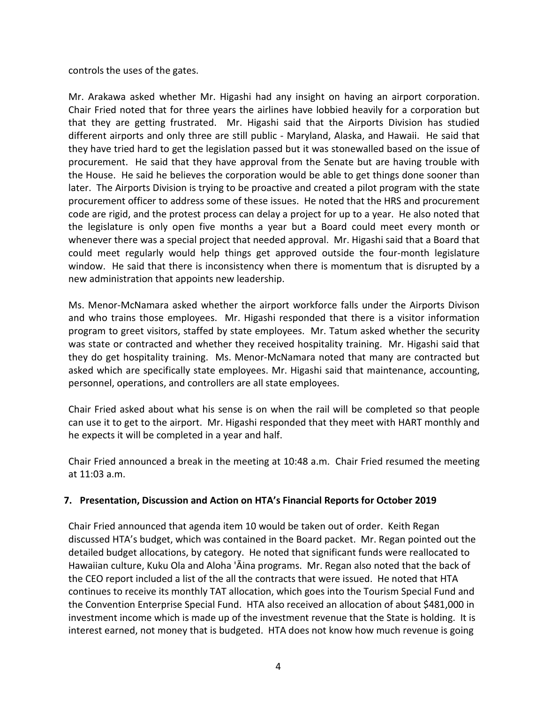controls the uses of the gates.

Mr. Arakawa asked whether Mr. Higashi had any insight on having an airport corporation. Chair Fried noted that for three years the airlines have lobbied heavily for a corporation but that they are getting frustrated. Mr. Higashi said that the Airports Division has studied different airports and only three are still public - Maryland, Alaska, and Hawaii. He said that they have tried hard to get the legislation passed but it was stonewalled based on the issue of procurement. He said that they have approval from the Senate but are having trouble with the House. He said he believes the corporation would be able to get things done sooner than later. The Airports Division is trying to be proactive and created a pilot program with the state procurement officer to address some of these issues. He noted that the HRS and procurement code are rigid, and the protest process can delay a project for up to a year. He also noted that the legislature is only open five months a year but a Board could meet every month or whenever there was a special project that needed approval. Mr. Higashi said that a Board that could meet regularly would help things get approved outside the four-month legislature window. He said that there is inconsistency when there is momentum that is disrupted by a new administration that appoints new leadership.

Ms. Menor-McNamara asked whether the airport workforce falls under the Airports Divison and who trains those employees. Mr. Higashi responded that there is a visitor information program to greet visitors, staffed by state employees. Mr. Tatum asked whether the security was state or contracted and whether they received hospitality training. Mr. Higashi said that they do get hospitality training. Ms. Menor-McNamara noted that many are contracted but asked which are specifically state employees. Mr. Higashi said that maintenance, accounting, personnel, operations, and controllers are all state employees.

Chair Fried asked about what his sense is on when the rail will be completed so that people can use it to get to the airport. Mr. Higashi responded that they meet with HART monthly and he expects it will be completed in a year and half.

Chair Fried announced a break in the meeting at 10:48 a.m. Chair Fried resumed the meeting at 11:03 a.m.

## **7. Presentation, Discussion and Action on HTA's Financial Reports for October 2019**

Chair Fried announced that agenda item 10 would be taken out of order. Keith Regan discussed HTA's budget, which was contained in the Board packet. Mr. Regan pointed out the detailed budget allocations, by category. He noted that significant funds were reallocated to Hawaiian culture, Kuku Ola and Aloha 'Āina programs. Mr. Regan also noted that the back of the CEO report included a list of the all the contracts that were issued. He noted that HTA continues to receive its monthly TAT allocation, which goes into the Tourism Special Fund and the Convention Enterprise Special Fund. HTA also received an allocation of about \$481,000 in investment income which is made up of the investment revenue that the State is holding. It is interest earned, not money that is budgeted. HTA does not know how much revenue is going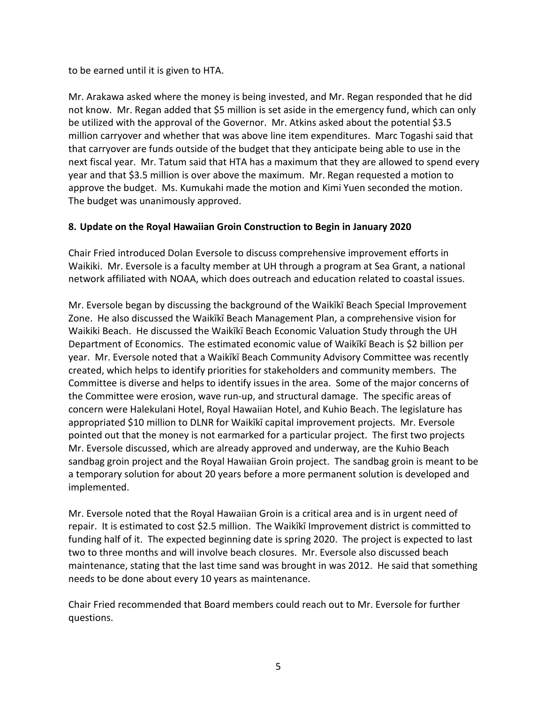to be earned until it is given to HTA.

Mr. Arakawa asked where the money is being invested, and Mr. Regan responded that he did not know. Mr. Regan added that \$5 million is set aside in the emergency fund, which can only be utilized with the approval of the Governor. Mr. Atkins asked about the potential \$3.5 million carryover and whether that was above line item expenditures. Marc Togashi said that that carryover are funds outside of the budget that they anticipate being able to use in the next fiscal year. Mr. Tatum said that HTA has a maximum that they are allowed to spend every year and that \$3.5 million is over above the maximum. Mr. Regan requested a motion to approve the budget. Ms. Kumukahi made the motion and Kimi Yuen seconded the motion. The budget was unanimously approved.

# **8. Update on the Royal Hawaiian Groin Construction to Begin in January 2020**

Chair Fried introduced Dolan Eversole to discuss comprehensive improvement efforts in Waikiki. Mr. Eversole is a faculty member at UH through a program at Sea Grant, a national network affiliated with NOAA, which does outreach and education related to coastal issues.

Mr. Eversole began by discussing the background of the Waikīkī Beach Special Improvement Zone. He also discussed the Waikīkī Beach Management Plan, a comprehensive vision for Waikiki Beach. He discussed the Waikīkī Beach Economic Valuation Study through the UH Department of Economics. The estimated economic value of Waikīkī Beach is \$2 billion per year. Mr. Eversole noted that a Waikīkī Beach Community Advisory Committee was recently created, which helps to identify priorities for stakeholders and community members. The Committee is diverse and helps to identify issues in the area. Some of the major concerns of the Committee were erosion, wave run-up, and structural damage. The specific areas of concern were Halekulani Hotel, Royal Hawaiian Hotel, and Kuhio Beach. The legislature has appropriated \$10 million to DLNR for Waikīkī capital improvement projects. Mr. Eversole pointed out that the money is not earmarked for a particular project. The first two projects Mr. Eversole discussed, which are already approved and underway, are the Kuhio Beach sandbag groin project and the Royal Hawaiian Groin project. The sandbag groin is meant to be a temporary solution for about 20 years before a more permanent solution is developed and implemented.

Mr. Eversole noted that the Royal Hawaiian Groin is a critical area and is in urgent need of repair. It is estimated to cost \$2.5 million. The Waikīkī Improvement district is committed to funding half of it. The expected beginning date is spring 2020. The project is expected to last two to three months and will involve beach closures. Mr. Eversole also discussed beach maintenance, stating that the last time sand was brought in was 2012. He said that something needs to be done about every 10 years as maintenance.

Chair Fried recommended that Board members could reach out to Mr. Eversole for further questions.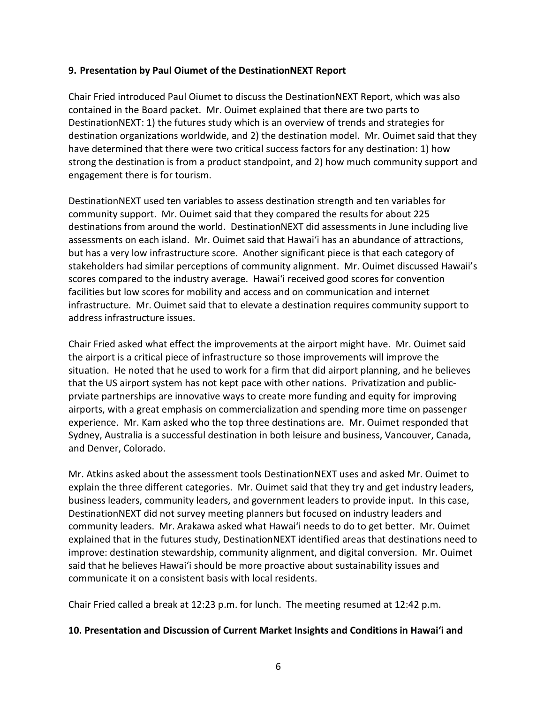#### **9. Presentation by Paul Oiumet of the DestinationNEXT Report**

Chair Fried introduced Paul Oiumet to discuss the DestinationNEXT Report, which was also contained in the Board packet. Mr. Ouimet explained that there are two parts to DestinationNEXT: 1) the futures study which is an overview of trends and strategies for destination organizations worldwide, and 2) the destination model. Mr. Ouimet said that they have determined that there were two critical success factors for any destination: 1) how strong the destination is from a product standpoint, and 2) how much community support and engagement there is for tourism.

DestinationNEXT used ten variables to assess destination strength and ten variables for community support. Mr. Ouimet said that they compared the results for about 225 destinations from around the world. DestinationNEXT did assessments in June including live assessments on each island. Mr. Ouimet said that Hawai'i has an abundance of attractions, but has a very low infrastructure score. Another significant piece is that each category of stakeholders had similar perceptions of community alignment. Mr. Ouimet discussed Hawaii's scores compared to the industry average. Hawai'i received good scores for convention facilities but low scores for mobility and access and on communication and internet infrastructure. Mr. Ouimet said that to elevate a destination requires community support to address infrastructure issues.

Chair Fried asked what effect the improvements at the airport might have. Mr. Ouimet said the airport is a critical piece of infrastructure so those improvements will improve the situation. He noted that he used to work for a firm that did airport planning, and he believes that the US airport system has not kept pace with other nations. Privatization and publicprviate partnerships are innovative ways to create more funding and equity for improving airports, with a great emphasis on commercialization and spending more time on passenger experience. Mr. Kam asked who the top three destinations are. Mr. Ouimet responded that Sydney, Australia is a successful destination in both leisure and business, Vancouver, Canada, and Denver, Colorado.

Mr. Atkins asked about the assessment tools DestinationNEXT uses and asked Mr. Ouimet to explain the three different categories. Mr. Ouimet said that they try and get industry leaders, business leaders, community leaders, and government leaders to provide input. In this case, DestinationNEXT did not survey meeting planners but focused on industry leaders and community leaders. Mr. Arakawa asked what Hawai'i needs to do to get better. Mr. Ouimet explained that in the futures study, DestinationNEXT identified areas that destinations need to improve: destination stewardship, community alignment, and digital conversion. Mr. Ouimet said that he believes Hawai'i should be more proactive about sustainability issues and communicate it on a consistent basis with local residents.

Chair Fried called a break at 12:23 p.m. for lunch. The meeting resumed at 12:42 p.m.

## **10. Presentation and Discussion of Current Market Insights and Conditions in Hawai'i and**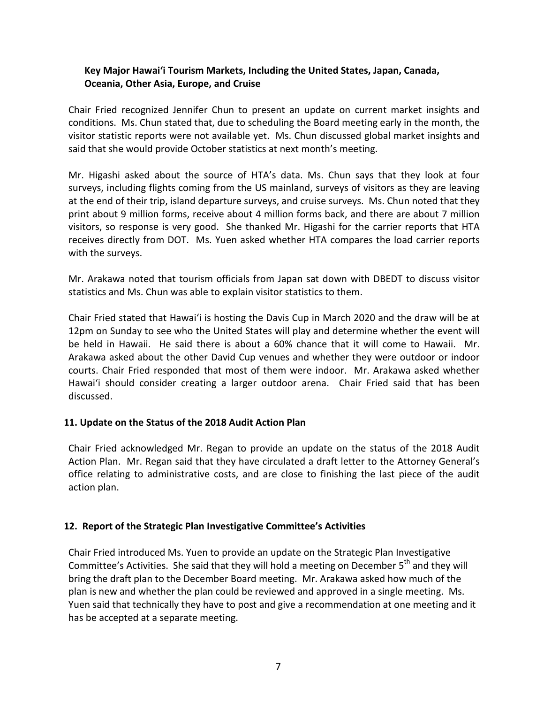## **Key Major Hawai'i Tourism Markets, Including the United States, Japan, Canada, Oceania, Other Asia, Europe, and Cruise**

Chair Fried recognized Jennifer Chun to present an update on current market insights and conditions. Ms. Chun stated that, due to scheduling the Board meeting early in the month, the visitor statistic reports were not available yet. Ms. Chun discussed global market insights and said that she would provide October statistics at next month's meeting.

Mr. Higashi asked about the source of HTA's data. Ms. Chun says that they look at four surveys, including flights coming from the US mainland, surveys of visitors as they are leaving at the end of their trip, island departure surveys, and cruise surveys. Ms. Chun noted that they print about 9 million forms, receive about 4 million forms back, and there are about 7 million visitors, so response is very good. She thanked Mr. Higashi for the carrier reports that HTA receives directly from DOT. Ms. Yuen asked whether HTA compares the load carrier reports with the surveys.

Mr. Arakawa noted that tourism officials from Japan sat down with DBEDT to discuss visitor statistics and Ms. Chun was able to explain visitor statistics to them.

Chair Fried stated that Hawai'i is hosting the Davis Cup in March 2020 and the draw will be at 12pm on Sunday to see who the United States will play and determine whether the event will be held in Hawaii. He said there is about a 60% chance that it will come to Hawaii. Mr. Arakawa asked about the other David Cup venues and whether they were outdoor or indoor courts. Chair Fried responded that most of them were indoor. Mr. Arakawa asked whether Hawai'i should consider creating a larger outdoor arena. Chair Fried said that has been discussed.

## **11. Update on the Status of the 2018 Audit Action Plan**

Chair Fried acknowledged Mr. Regan to provide an update on the status of the 2018 Audit Action Plan. Mr. Regan said that they have circulated a draft letter to the Attorney General's office relating to administrative costs, and are close to finishing the last piece of the audit action plan.

#### **12. Report of the Strategic Plan Investigative Committee's Activities**

Chair Fried introduced Ms. Yuen to provide an update on the Strategic Plan Investigative Committee's Activities. She said that they will hold a meeting on December 5<sup>th</sup> and they will bring the draft plan to the December Board meeting. Mr. Arakawa asked how much of the plan is new and whether the plan could be reviewed and approved in a single meeting. Ms. Yuen said that technically they have to post and give a recommendation at one meeting and it has be accepted at a separate meeting.